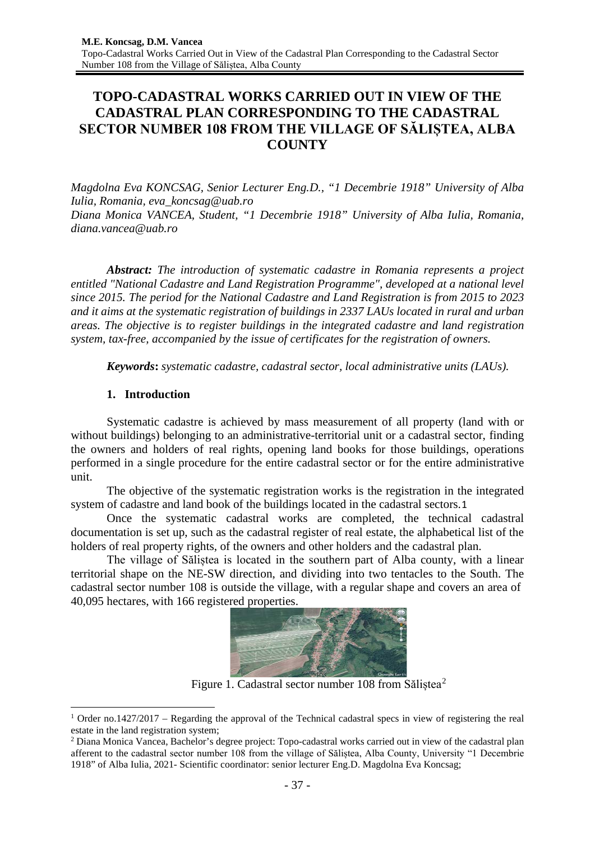# **TOPO-CADASTRAL WORKS CARRIED OUT IN VIEW OF THE CADASTRAL PLAN CORRESPONDING TO THE CADASTRAL SECTOR NUMBER 108 FROM THE VILLAGE OF SĂLIȘTEA, ALBA COUNTY**

*Magdolna Eva KONCSAG, Senior Lecturer Eng.D., "1 Decembrie 1918" University of Alba Iulia, Romania, [eva\\_koncsag@uab.ro](mailto:eva_koncsag@uab.ro) Diana Monica VANCEA, Student, "1 Decembrie 1918" University of Alba Iulia, Romania, diana.vancea@uab.ro*

*Abstract: The introduction of systematic cadastre in Romania represents a project entitled "National Cadastre and Land Registration Programme", developed at a national level since 2015. The period for the National Cadastre and Land Registration is from 2015 to 2023 and it aims at the systematic registration of buildings in 2337 LAUs located in rural and urban areas. The objective is to register buildings in the integrated cadastre and land registration system, tax-free, accompanied by the issue of certificates for the registration of owners.*

*Keywords***:** *systematic cadastre, cadastral sector, local administrative units (LAUs).*

# **1. Introduction**

Systematic cadastre is achieved by mass measurement of all property (land with or without buildings) belonging to an administrative-territorial unit or a cadastral sector, finding the owners and holders of real rights, opening land books for those buildings, operations performed in a single procedure for the entire cadastral sector or for the entire administrative unit.

The objective of the systematic registration works is the registration in the integrated system of cadastre and land book of the buildings located in the cadastral sectors.[1](#page-0-0)

Once the systematic cadastral works are completed, the technical cadastral documentation is set up, such as the cadastral register of real estate, the alphabetical list of the holders of real property rights, of the owners and other holders and the cadastral plan.

The village of Săliștea is located in the southern part of Alba county, with a linear territorial shape on the NE-SW direction, and dividing into two tentacles to the South. The cadastral sector number 108 is outside the village, with a regular shape and covers an area of 40,095 hectares, with 166 registered properties.



Figure 1. Cadastral sector number 108 from Sălistea<sup>[2](#page-0-1)</sup>

<span id="page-0-0"></span><sup>&</sup>lt;sup>1</sup> Order no.1427/2017 – Regarding the approval of the Technical cadastral specs in view of registering the real estate in the land registration system;

<span id="page-0-1"></span><sup>&</sup>lt;sup>2</sup> Diana Monica Vancea, Bachelor's degree project: Topo-cadastral works carried out in view of the cadastral plan afferent to the cadastral sector number 108 from the village of Săliștea, Alba County, University "1 Decembrie 1918" of Alba Iulia, 2021- Scientific coordinator: senior lecturer Eng.D. Magdolna Eva Koncsag;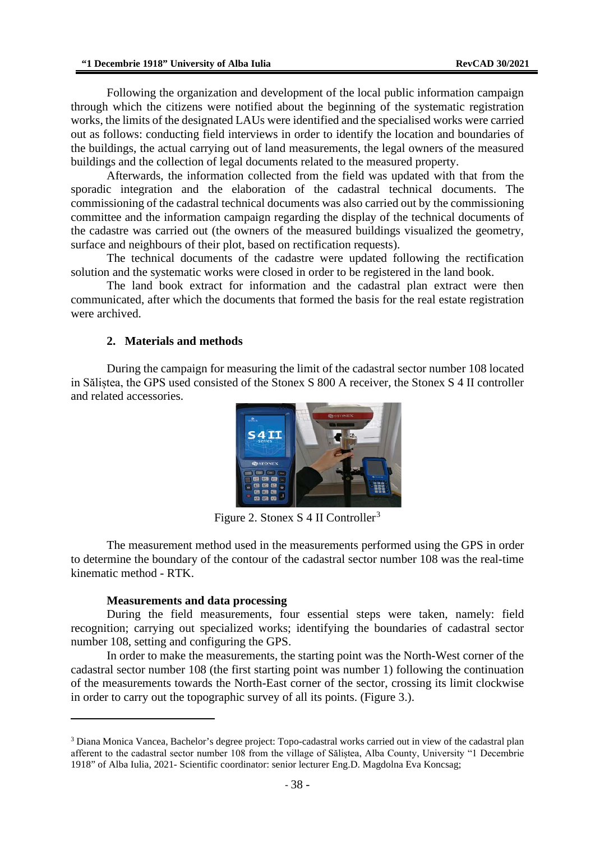Following the organization and development of the local public information campaign through which the citizens were notified about the beginning of the systematic registration works, the limits of the designated LAUs were identified and the specialised works were carried out as follows: conducting field interviews in order to identify the location and boundaries of the buildings, the actual carrying out of land measurements, the legal owners of the measured buildings and the collection of legal documents related to the measured property.

Afterwards, the information collected from the field was updated with that from the sporadic integration and the elaboration of the cadastral technical documents. The commissioning of the cadastral technical documents was also carried out by the commissioning committee and the information campaign regarding the display of the technical documents of the cadastre was carried out (the owners of the measured buildings visualized the geometry, surface and neighbours of their plot, based on rectification requests).

The technical documents of the cadastre were updated following the rectification solution and the systematic works were closed in order to be registered in the land book.

The land book extract for information and the cadastral plan extract were then communicated, after which the documents that formed the basis for the real estate registration were archived.

#### **2. Materials and methods**

During the campaign for measuring the limit of the cadastral sector number 108 located in Săliștea, the GPS used consisted of the Stonex S 800 A receiver, the Stonex S 4 II controller and related accessories.



Figure 2. Stonex  $S$  4 II Controller<sup>[3](#page-1-0)</sup>

The measurement method used in the measurements performed using the GPS in order to determine the boundary of the contour of the cadastral sector number 108 was the real-time kinematic method - RTK.

#### **Measurements and data processing**

During the field measurements, four essential steps were taken, namely: field recognition; carrying out specialized works; identifying the boundaries of cadastral sector number 108, setting and configuring the GPS.

In order to make the measurements, the starting point was the North-West corner of the cadastral sector number 108 (the first starting point was number 1) following the continuation of the measurements towards the North-East corner of the sector, crossing its limit clockwise in order to carry out the topographic survey of all its points. (Figure 3.).

<span id="page-1-0"></span><sup>&</sup>lt;sup>3</sup> Diana Monica Vancea, Bachelor's degree project: Topo-cadastral works carried out in view of the cadastral plan afferent to the cadastral sector number 108 from the village of Săliștea, Alba County, University "1 Decembrie 1918" of Alba Iulia, 2021- Scientific coordinator: senior lecturer Eng.D. Magdolna Eva Koncsag;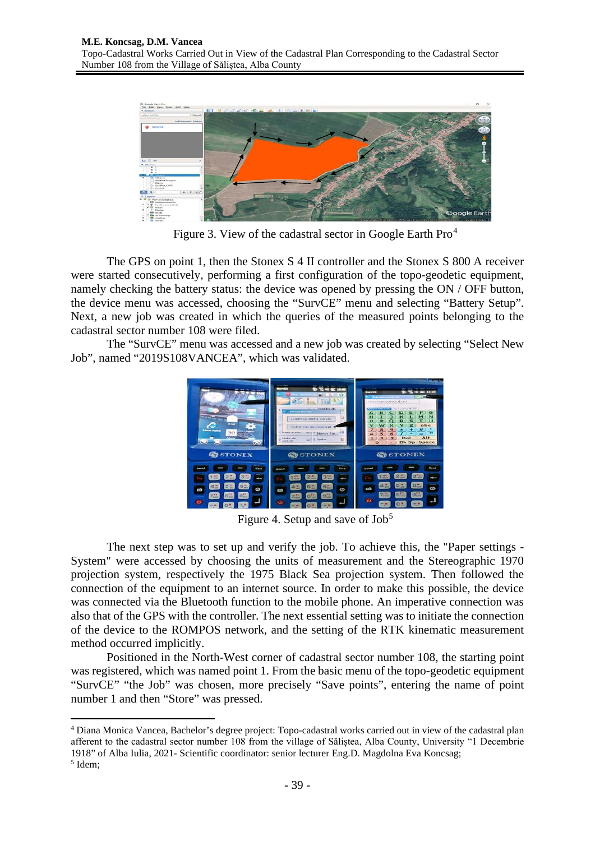

Figure 3. View of the cadastral sector in Google Earth Pro<sup>[4](#page-2-0)</sup>

The GPS on point 1, then the Stonex S 4 II controller and the Stonex S 800 A receiver were started consecutively, performing a first configuration of the topo-geodetic equipment, namely checking the battery status: the device was opened by pressing the ON / OFF button, the device menu was accessed, choosing the "SurvCE" menu and selecting "Battery Setup". Next, a new job was created in which the queries of the measured points belonging to the cadastral sector number 108 were filed.

The "SurvCE" menu was accessed and a new job was created by selecting "Select New Job", named "2019S108VANCEA", which was validated.



Figure 4. Setup and save of  $Job<sup>5</sup>$  $Job<sup>5</sup>$  $Job<sup>5</sup>$ 

The next step was to set up and verify the job. To achieve this, the "Paper settings - System" were accessed by choosing the units of measurement and the Stereographic 1970 projection system, respectively the 1975 Black Sea projection system. Then followed the connection of the equipment to an internet source. In order to make this possible, the device was connected via the Bluetooth function to the mobile phone. An imperative connection was also that of the GPS with the controller. The next essential setting was to initiate the connection of the device to the ROMPOS network, and the setting of the RTK kinematic measurement method occurred implicitly.

Positioned in the North-West corner of cadastral sector number 108, the starting point was registered, which was named point 1. From the basic menu of the topo-geodetic equipment "SurvCE" "the Job" was chosen, more precisely "Save points", entering the name of point number 1 and then "Store" was pressed.

<span id="page-2-0"></span><sup>4</sup> Diana Monica Vancea, Bachelor's degree project: Topo-cadastral works carried out in view of the cadastral plan afferent to the cadastral sector number 108 from the village of Săliștea, Alba County, University "1 Decembrie 1918" of Alba Iulia, 2021- Scientific coordinator: senior lecturer Eng.D. Magdolna Eva Koncsag;

<span id="page-2-1"></span><sup>5</sup> Idem;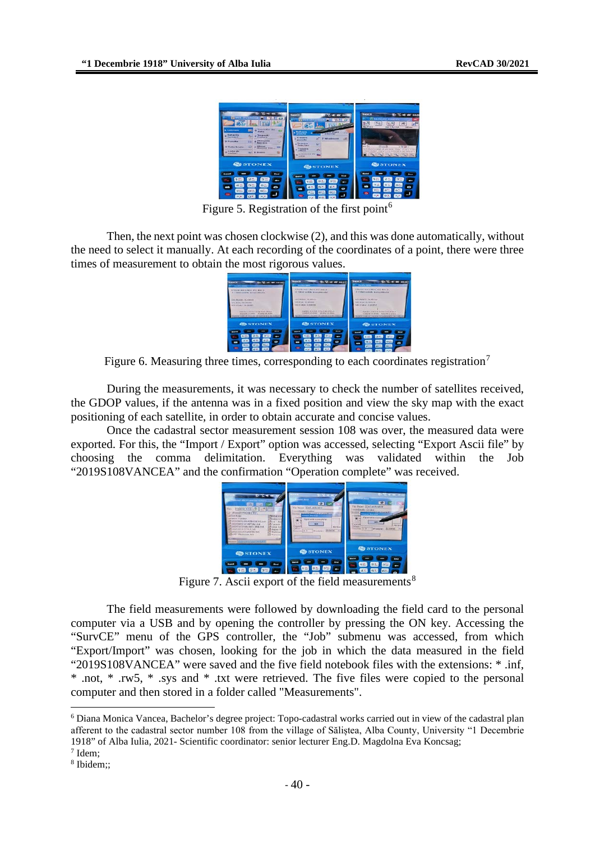

Figure 5. Registration of the first point<sup>[6](#page-3-0)</sup>

Then, the next point was chosen clockwise (2), and this was done automatically, without the need to select it manually. At each recording of the coordinates of a point, there were three times of measurement to obtain the most rigorous values.

| $-1$<br><b>AC SHIELD</b><br><b>Market and College</b>                                                                                                                                                                                                                                                                      | <b>SHOPPER</b><br><b>By NC off and America</b><br><b>CONTRACTOR</b>                                                                                                                                                                                                                    | <b>BurnCK</b><br><b>SALES</b><br><b>The Photo State</b>                                                                                                                                                                                                                            |
|----------------------------------------------------------------------------------------------------------------------------------------------------------------------------------------------------------------------------------------------------------------------------------------------------------------------------|----------------------------------------------------------------------------------------------------------------------------------------------------------------------------------------------------------------------------------------------------------------------------------------|------------------------------------------------------------------------------------------------------------------------------------------------------------------------------------------------------------------------------------------------------------------------------------|
| Checks and connect of a startill<br>1. 4. MONT SUVENIOR BETWEEN RELEASE.<br>1140 Farmers, 40, Deleter<br>INTERNATIONAL MARKET<br>with a many dependent.<br><b>SOVING BUSINES</b><br>INVESTIGATION IN EACH PLAST IP SALE<br><b>PRODUCTS LEADER THOMAS AN ANGEL</b><br>provided an advanced to the provided and the contract | A Residence is a him of the day of<br>If Cleve so hike an exceptances<br><b>SALEMANY</b> AVAILED<br>VERSIONS IN INVESTI-<br><b><i><u>ADITABLE GARRISE</u></i></b><br>GATE: LEARN STATULETER<br>because in more. Including an exam-<br>laurest awheat requirer as awheat free to method | Effectivers citizen and stay 3.<br>3 Citat visible announcement<br>GO & Report Co. (MILL)<br><b>GO-EAS O MOAN</b><br>Silver extract in marketing<br>INVESTIGATION INTO CONTINUES.<br>a supplier call meteor - between to arrange<br>Source: Gob 3.8 Harston to subcordin to Lamuel |
| <b>CONTONIX</b><br><b>CA TOU</b><br>-<br>$\bullet$<br><b>GCZ</b><br>$7 - 1$                                                                                                                                                                                                                                                | <b>CONEX</b><br>$\sim$<br>$\overline{\phantom{a}}$<br><b>GASS</b><br>m                                                                                                                                                                                                                 | <b>CONDONEX</b><br><b>ERNIE</b><br>s and<br>GE<br><b>WATER</b><br><b>CONTE</b><br><b>CONTECT</b>                                                                                                                                                                                   |

Figure 6. Measuring three times, corresponding to each coordinates registration<sup>[7](#page-3-1)</sup>

During the measurements, it was necessary to check the number of satellites received, the GDOP values, if the antenna was in a fixed position and view the sky map with the exact positioning of each satellite, in order to obtain accurate and concise values.

Once the cadastral sector measurement session 108 was over, the measured data were exported. For this, the "Import / Export" option was accessed, selecting "Export Ascii file" by choosing the comma delimitation. Everything was validated within the Job "2019S108VANCEA" and the confirmation "Operation complete" was received.



Figure 7. Ascii export of the field measurements<sup>[8](#page-3-2)</sup>

The field measurements were followed by downloading the field card to the personal computer via a USB and by opening the controller by pressing the ON key. Accessing the "SurvCE" menu of the GPS controller, the "Job" submenu was accessed, from which "Export/Import" was chosen, looking for the job in which the data measured in the field "2019S108VANCEA" were saved and the five field notebook files with the extensions: \* .inf, \* .not, \* .rw5, \* .sys and \* .txt were retrieved. The five files were copied to the personal computer and then stored in a folder called "Measurements".

<span id="page-3-0"></span><sup>6</sup> Diana Monica Vancea, Bachelor's degree project: Topo-cadastral works carried out in view of the cadastral plan afferent to the cadastral sector number 108 from the village of Săliștea, Alba County, University "1 Decembrie 1918" of Alba Iulia, 2021- Scientific coordinator: senior lecturer Eng.D. Magdolna Eva Koncsag;

<span id="page-3-2"></span><span id="page-3-1"></span><sup>7</sup> Idem;

<sup>8</sup> Ibidem;;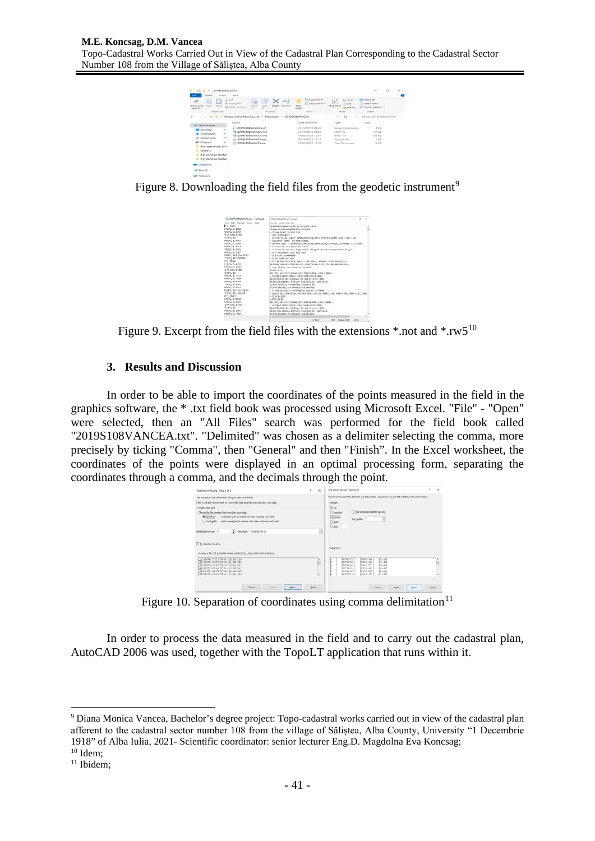

Figure 8. Downloading the field files from the geodetic instrument<sup>[9](#page-4-0)</sup>



Figure 9. Excerpt from the field files with the extensions  $*$  not and  $*$  rw5<sup>[10](#page-4-1)</sup>

# **3. Results and Discussion**

In order to be able to import the coordinates of the points measured in the field in the graphics software, the \* .txt field book was processed using Microsoft Excel. "File" - "Open" were selected, then an "All Files" search was performed for the field book called "2019S108VANCEA.txt". "Delimited" was chosen as a delimiter selecting the comma, more precisely by ticking "Comma", then "General" and then "Finish". In the Excel worksheet, the coordinates of the points were displayed in an optimal processing form, separating the coordinates through a comma, and the decimals through the point.



Figure 10. Separation of coordinates using comma delimitation<sup>[11](#page-4-2)</sup>

In order to process the data measured in the field and to carry out the cadastral plan, AutoCAD 2006 was used, together with the TopoLT application that runs within it.

<span id="page-4-0"></span><sup>9</sup> Diana Monica Vancea, Bachelor's degree project: Topo-cadastral works carried out in view of the cadastral plan afferent to the cadastral sector number 108 from the village of Săliștea, Alba County, University "1 Decembrie 1918" of Alba Iulia, 2021- Scientific coordinator: senior lecturer Eng.D. Magdolna Eva Koncsag; <sup>10</sup> Idem;

<span id="page-4-2"></span><span id="page-4-1"></span><sup>&</sup>lt;sup>11</sup> Ibidem;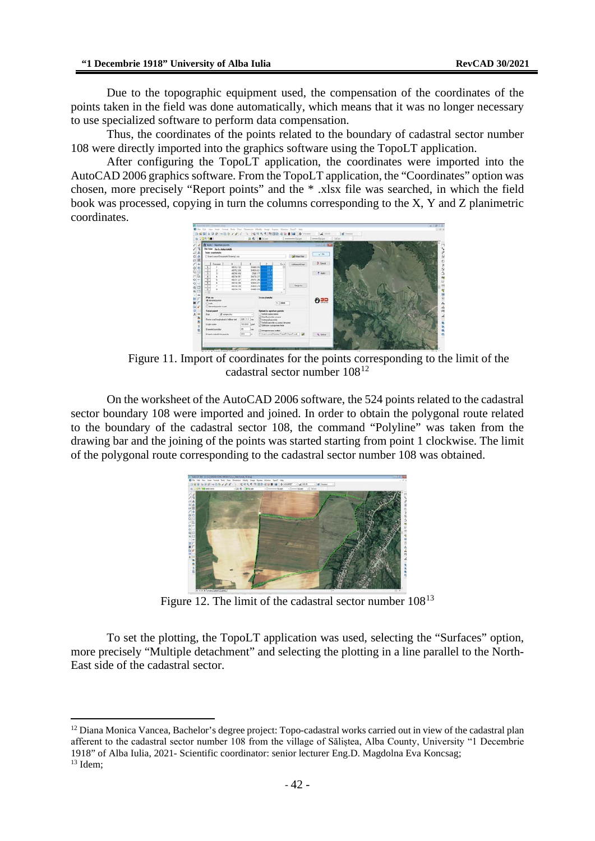Due to the topographic equipment used, the compensation of the coordinates of the points taken in the field was done automatically, which means that it was no longer necessary to use specialized software to perform data compensation.

Thus, the coordinates of the points related to the boundary of cadastral sector number 108 were directly imported into the graphics software using the TopoLT application.

After configuring the TopoLT application, the coordinates were imported into the AutoCAD 2006 graphics software. From the TopoLT application, the "Coordinates" option was chosen, more precisely "Report points" and the \* .xlsx file was searched, in which the field book was processed, copying in turn the columns corresponding to the X, Y and Z planimetric coordinates.



Figure 11. Import of coordinates for the points corresponding to the limit of the cadastral sector number 108[12](#page-5-0)

On the worksheet of the AutoCAD 2006 software, the 524 points related to the cadastral sector boundary 108 were imported and joined. In order to obtain the polygonal route related to the boundary of the cadastral sector 108, the command "Polyline" was taken from the drawing bar and the joining of the points was started starting from point 1 clockwise. The limit of the polygonal route corresponding to the cadastral sector number 108 was obtained.



Figure 12. The limit of the cadastral sector number  $108^{13}$  $108^{13}$  $108^{13}$ 

To set the plotting, the TopoLT application was used, selecting the "Surfaces" option, more precisely "Multiple detachment" and selecting the plotting in a line parallel to the North-East side of the cadastral sector.

<span id="page-5-1"></span><span id="page-5-0"></span><sup>&</sup>lt;sup>12</sup> Diana Monica Vancea, Bachelor's degree project: Topo-cadastral works carried out in view of the cadastral plan afferent to the cadastral sector number 108 from the village of Săliștea, Alba County, University "1 Decembrie 1918" of Alba Iulia, 2021- Scientific coordinator: senior lecturer Eng.D. Magdolna Eva Koncsag; <sup>13</sup> Idem;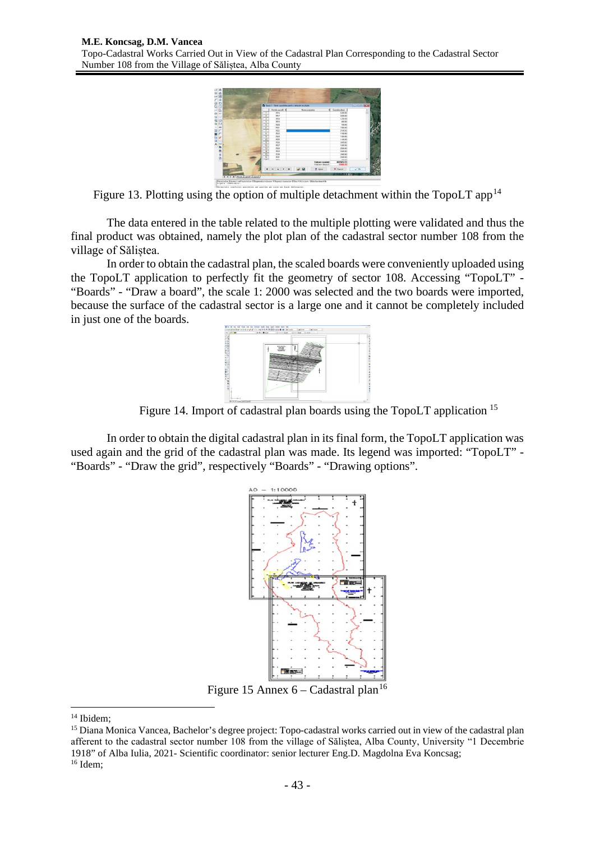

Figure 13. Plotting using the option of multiple detachment within the  $TopoLT$  app<sup>[14](#page-6-0)</sup>

The data entered in the table related to the multiple plotting were validated and thus the final product was obtained, namely the plot plan of the cadastral sector number 108 from the village of Săliștea.

In order to obtain the cadastral plan, the scaled boards were conveniently uploaded using the TopoLT application to perfectly fit the geometry of sector 108. Accessing "TopoLT" - "Boards" - "Draw a board", the scale 1: 2000 was selected and the two boards were imported, because the surface of the cadastral sector is a large one and it cannot be completely included in just one of the boards.



Figure 14. Import of cadastral plan boards using the TopoLT application <sup>[15](#page-6-1)</sup>

In order to obtain the digital cadastral plan in its final form, the TopoLT application was used again and the grid of the cadastral plan was made. Its legend was imported: "TopoLT" - "Boards" - "Draw the grid", respectively "Boards" - "Drawing options".



Figure 15 Annex  $6 -$ Cadastral plan<sup>[16](#page-6-2)</sup>

<span id="page-6-0"></span><sup>14</sup> Ibidem;

<span id="page-6-2"></span><span id="page-6-1"></span><sup>&</sup>lt;sup>15</sup> Diana Monica Vancea, Bachelor's degree project: Topo-cadastral works carried out in view of the cadastral plan afferent to the cadastral sector number 108 from the village of Săliștea, Alba County, University "1 Decembrie 1918" of Alba Iulia, 2021- Scientific coordinator: senior lecturer Eng.D. Magdolna Eva Koncsag; <sup>16</sup> Idem;